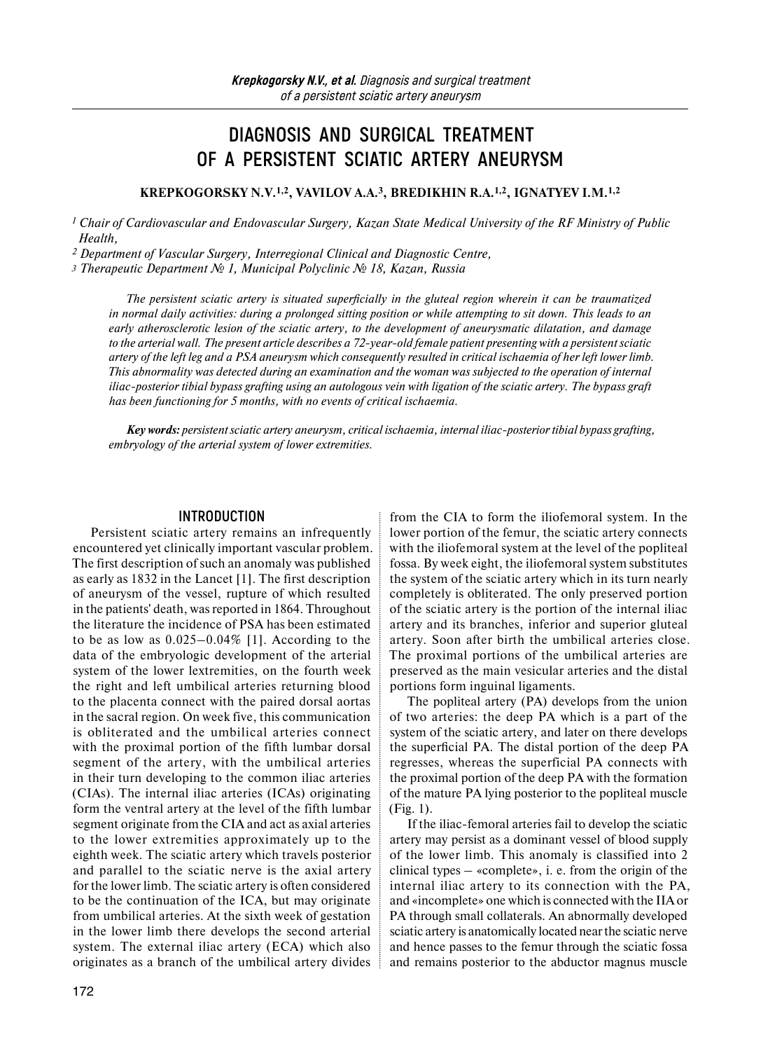# **DIAGNOSIS AND SURGICAL TREATMENT OF A PERSISTENT SCIATIC ARTERY ANEURYSM**

**KREPKOGORSKY N.V.1,2, VAVILOV A.A.3, BREDIKHIN R.A.1,2, IGNATYEV I.M.1,2** 

*<sup>1</sup> Chair of Cardiovascular and Endovascular Surgery, Kazan State Medical University of the RF Ministry of Public Health,*

*2 Department of Vascular Surgery, Interregional Clinical and Diagnostic Centre,*

 *Therapeutic Department № 1, Municipal Polyclinic № 18, Kazan, Russia* 

*The persistent sciatic artery is situated superficially in the gluteal region wherein it can be traumatized in normal daily activities: during a prolonged sitting position or while attempting to sit down. This leads to an early atherosclerotic lesion of the sciatic artery, to the development of aneurysmatic dilatation, and damage to the arterial wall. The present article describes a 72-year-old female patient presenting with a persistent sciatic artery of the left leg and a PSA aneurysm which consequently resulted in critical ischaemia of her left lower limb. This abnormality was detected during an examination and the woman was subjected to the operation of internal iliac-posterior tibial bypass grafting using an autologous vein with ligation of the sciatic artery. The bypass graft has been functioning for 5 months, with no events of critical ischaemia.* 

*Key words: persistent sciatic artery aneurysm, critical ischaemia, internal iliac-posterior tibial bypass grafting, embryology of the arterial system of lower extremities.*

#### **INTRODUCTION**

Persistent sciatic artery remains an infrequently encountered yet clinically important vascular problem. The first description of such an anomaly was published as early as 1832 in the Lancet [1]. The first description of aneurysm of the vessel, rupture of which resulted in the patients' death, was reported in 1864. Throughout the literature the incidence of PSA has been estimated to be as low as 0.025–0.04% [1]. According to the data of the embryologic development of the arterial system of the lower lextremities, on the fourth week the right and left umbilical arteries returning blood to the placenta connect with the paired dorsal aortas in the sacral region. On week five, this communication is obliterated and the umbilical arteries connect with the proximal portion of the fifth lumbar dorsal segment of the artery, with the umbilical arteries in their turn developing to the common iliac arteries (CIAs). The internal iliac arteries (ICAs) originating form the ventral artery at the level of the fifth lumbar segment originate from the CIA and act as axial arteries to the lower extremities approximately up to the eighth week. The sciatic artery which travels posterior and parallel to the sciatic nerve is the axial artery for the lower limb. The sciatic artery is often considered to be the continuation of the ICA, but may originate from umbilical arteries. At the sixth week of gestation in the lower limb there develops the second arterial system. The external iliac artery (ECA) which also originates as a branch of the umbilical artery divides

from the CIA to form the iliofemoral system. In the lower portion of the femur, the sciatic artery connects with the iliofemoral system at the level of the popliteal fossa. By week eight, the iliofemoral system substitutes the system of the sciatic artery which in its turn nearly completely is obliterated. The only preserved portion of the sciatic artery is the portion of the internal iliac artery and its branches, inferior and superior gluteal artery. Soon after birth the umbilical arteries close. The proximal portions of the umbilical arteries are preserved as the main vesicular arteries and the distal portions form inguinal ligaments.

The popliteal artery (PA) develops from the union of two arteries: the deep PA which is a part of the system of the sciatic artery, and later on there develops the superficial PA. The distal portion of the deep PA regresses, whereas the superficial PA connects with the proximal portion of the deep PA with the formation of the mature PA lying posterior to the popliteal muscle (Fig. 1).

If the iliac-femoral arteries fail to develop the sciatic artery may persist as a dominant vessel of blood supply of the lower limb. This anomaly is classified into 2 clinical types – «complete», i. e. from the origin of the internal iliac artery to its connection with the PA, and «incomplete» one which is connected with the IIA or PA through small collaterals. An abnormally developed sciatic artery is anatomically located near the sciatic nerve and hence passes to the femur through the sciatic fossa and remains posterior to the abductor magnus muscle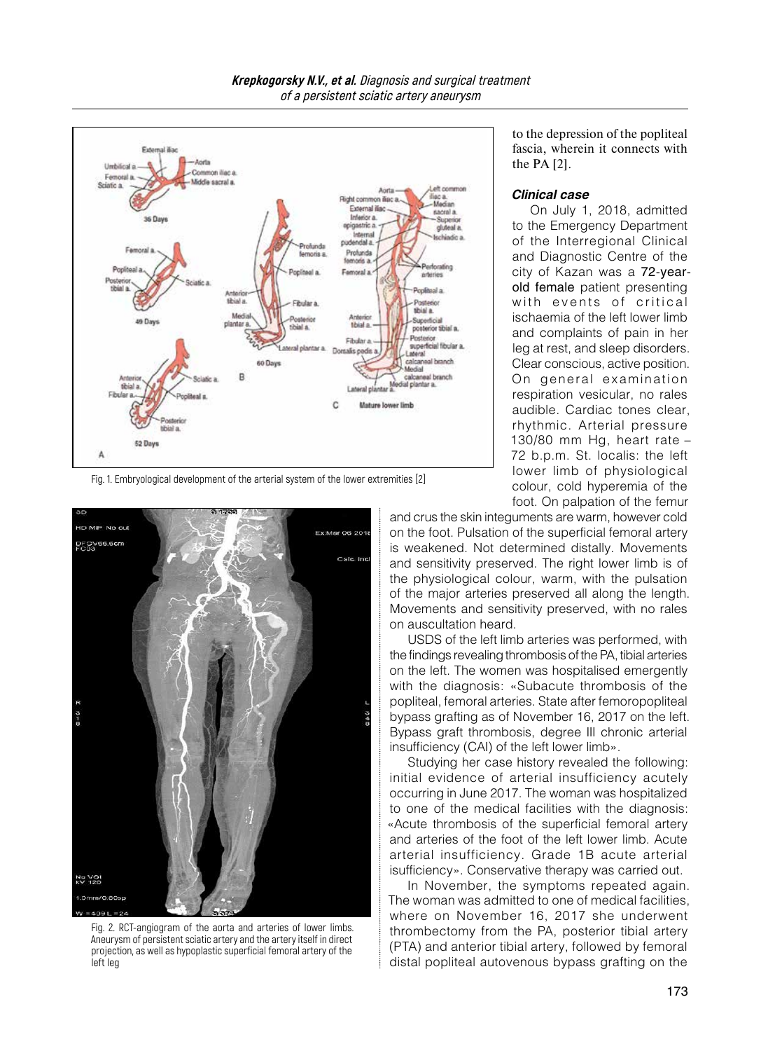

Fig. 1. Embryological development of the arterial system of the lower extremities [2]



Fig. 2. RCT-angiogram of the aorta and arteries of lower limbs. Aneurysm of persistent sciatic artery and the artery itself in direct projection, as well as hypoplastic superficial femoral artery of the left leg

to the depression of the popliteal fascia, wherein it connects with the PA [2].

#### *Clinical case*

On July 1, 2018, admitted to the Emergency Department of the Interregional Clinical and Diagnostic Centre of the city of Kazan was a 72-yearold female patient presenting with events of critical ischaemia of the left lower limb and complaints of pain in her leg at rest, and sleep disorders. Clear conscious, active position. On general examination respiration vesicular, no rales audible. Cardiac tones clear, rhythmic. Arterial pressure 130/80 mm Hg, heart rate – 72 b.p.m. St. localis: the left lower limb of physiological colour, cold hyperemia of the foot. On palpation of the femur

and crus the skin integuments are warm, however cold on the foot. Pulsation of the superficial femoral artery is weakened. Not determined distally. Movements and sensitivity preserved. The right lower limb is of the physiological colour, warm, with the pulsation of the major arteries preserved all along the length. Movements and sensitivity preserved, with no rales on auscultation heard.

USDS of the left limb arteries was performed, with the findings revealing thrombosis of the PA, tibial arteries on the left. The women was hospitalised emergently with the diagnosis: «Subacute thrombosis of the popliteal, femoral arteries. State after femoropopliteal bypass grafting as of November 16, 2017 on the left. Bypass graft thrombosis, degree III chronic arterial insufficiency (CAI) of the left lower limb».

Studying her case history revealed the following: initial evidence of arterial insufficiency acutely occurring in June 2017. The woman was hospitalized to one of the medical facilities with the diagnosis: «Acute thrombosis of the superficial femoral artery and arteries of the foot of the left lower limb. Acute arterial insufficiency. Grade 1B acute arterial isufficiency». Conservative therapy was carried out.

In November, the symptoms repeated again. The woman was admitted to one of medical facilities, where on November 16, 2017 she underwent thrombectomy from the PA, posterior tibial artery (PTA) and anterior tibial artery, followed by femoral distal popliteal autovenous bypass grafting on the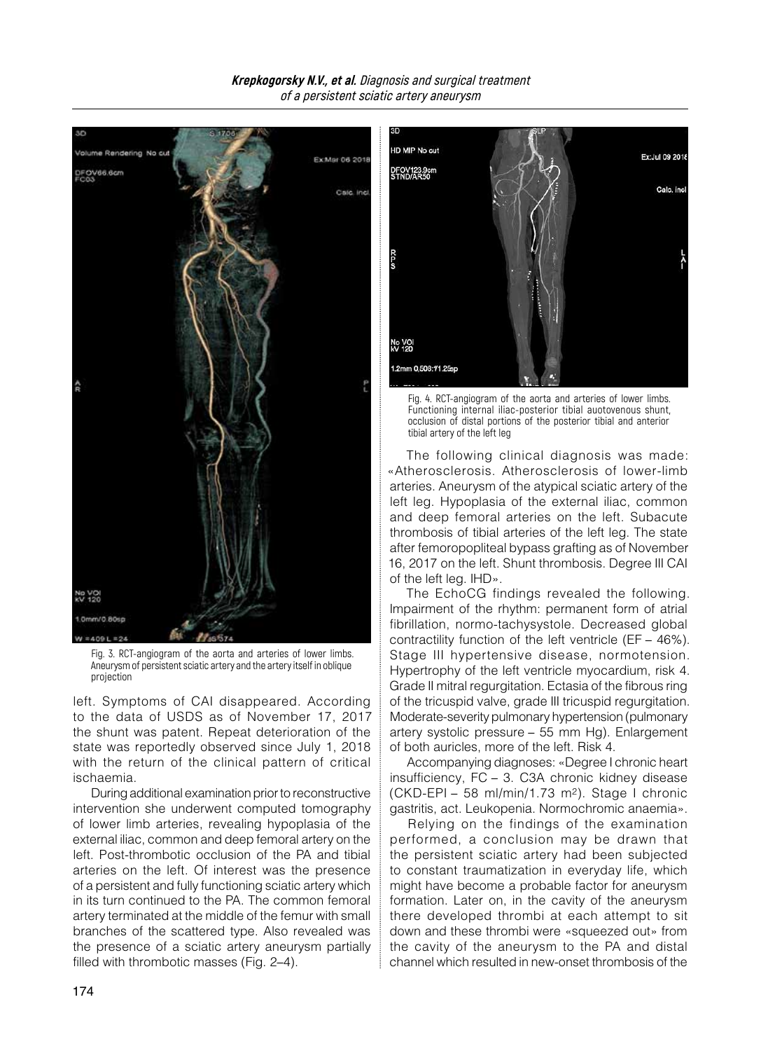

Fig. 3. RCT-angiogram of the aorta and arteries of lower limbs. Aneurysm of persistent sciatic artery and the artery itself in oblique projection

left. Symptoms of CAI disappeared. According to the data of USDS as of November 17, 2017 the shunt was patent. Repeat deterioration of the state was reportedly observed since July 1, 2018 with the return of the clinical pattern of critical ischaemia.

During additional examination prior to reconstructive intervention she underwent computed tomography of lower limb arteries, revealing hypoplasia of the external iliac, common and deep femoral artery on the left. Post-thrombotic occlusion of the PA and tibial arteries on the left. Of interest was the presence of a persistent and fully functioning sciatic artery which in its turn continued to the PA. The common femoral artery terminated at the middle of the femur with small branches of the scattered type. Also revealed was the presence of a sciatic artery aneurysm partially filled with thrombotic masses (Fig. 2–4).



Fig. 4. RCT-angiogram of the aorta and arteries of lower limbs. Functioning internal iliac-posterior tibial auotovenous shunt, occlusion of distal portions of the posterior tibial and anterior tibial artery of the left leg

The following clinical diagnosis was made: «Atherosclerosis. Atherosclerosis of lower-limb arteries. Aneurysm of the atypical sciatic artery of the left leg. Hypoplasia of the external iliac, common and deep femoral arteries on the left. Subacute thrombosis of tibial arteries of the left leg. The state after femoropopliteal bypass grafting as of November 16, 2017 on the left. Shunt thrombosis. Degree III CAI of the left leg. IHD».

The EchoCG findings revealed the following. Impairment of the rhythm: permanent form of atrial fibrillation, normo-tachysystole. Decreased global contractility function of the left ventricle (EF – 46%). Stage III hypertensive disease, normotension. Hypertrophy of the left ventricle myocardium, risk 4. Grade II mitral regurgitation. Ectasia of the fibrous ring of the tricuspid valve, grade III tricuspid regurgitation. Moderate-severity pulmonary hypertension (pulmonary artery systolic pressure – 55 mm Hg). Enlargement of both auricles, more of the left. Risk 4.

Accompanying diagnoses: «Degree I chronic heart insufficiency, FC – 3. C3A chronic kidney disease (CKD-EPI – 58 ml/min/1.73 m2). Stage I chronic gastritis, act. Leukopenia. Normochromic anaemia».

Relying on the findings of the examination performed, a conclusion may be drawn that the persistent sciatic artery had been subjected to constant traumatization in everyday life, which might have become a probable factor for aneurysm formation. Later on, in the cavity of the aneurysm there developed thrombi at each attempt to sit down and these thrombi were «squeezed out» from the cavity of the aneurysm to the PA and distal channel which resulted in new-onset thrombosis of the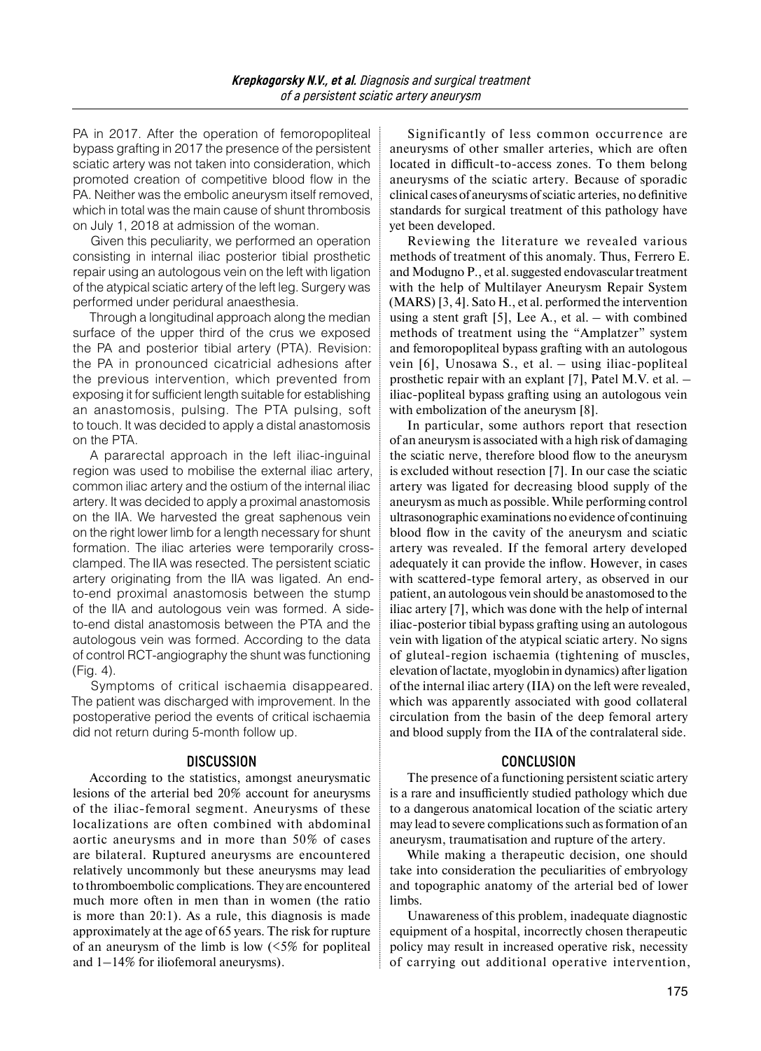PA in 2017. After the operation of femoropopliteal bypass grafting in 2017 the presence of the persistent sciatic artery was not taken into consideration, which promoted creation of competitive blood flow in the PA. Neither was the embolic aneurysm itself removed, which in total was the main cause of shunt thrombosis on July 1, 2018 at admission of the woman.

Given this peculiarity, we performed an operation consisting in internal iliac posterior tibial prosthetic repair using an autologous vein on the left with ligation of the atypical sciatic artery of the left leg. Surgery was performed under peridural anaesthesia.

Through a longitudinal approach along the median surface of the upper third of the crus we exposed the PA and posterior tibial artery (PTA). Revision: the PA in pronounced cicatricial adhesions after the previous intervention, which prevented from exposing it for sufficient length suitable for establishing an anastomosis, pulsing. The PTA pulsing, soft to touch. It was decided to apply a distal anastomosis on the PTA.

A pararectal approach in the left iliac-inguinal region was used to mobilise the external iliac artery, common iliac artery and the ostium of the internal iliac artery. It was decided to apply a proximal anastomosis on the IIA. We harvested the great saphenous vein on the right lower limb for a length necessary for shunt formation. The iliac arteries were temporarily crossclamped. The IIA was resected. The persistent sciatic artery originating from the IIA was ligated. An endto-end proximal anastomosis between the stump of the IIA and autologous vein was formed. A sideto-end distal anastomosis between the PTA and the autologous vein was formed. According to the data of control RCT-angiography the shunt was functioning (Fig. 4).

Symptoms of critical ischaemia disappeared. The patient was discharged with improvement. In the postoperative period the events of critical ischaemia did not return during 5-month follow up.

## **DISCUSSION**

According to the statistics, amongst aneurysmatic lesions of the arterial bed 20% account for aneurysms of the iliac-femoral segment. Aneurysms of these localizations are often combined with abdominal aortic aneurysms and in more than 50% of cases are bilateral. Ruptured aneurysms are encountered relatively uncommonly but these aneurysms may lead to thromboembolic complications. They are encountered much more often in men than in women (the ratio is more than 20:1). As a rule, this diagnosis is made approximately at the age of 65 years. The risk for rupture of an aneurysm of the limb is low  $(5\%$  for popliteal and 1–14% for iliofemoral aneurysms).

Significantly of less common occurrence are aneurysms of other smaller arteries, which are often located in difficult-to-access zones. To them belong aneurysms of the sciatic artery. Because of sporadic clinical cases of aneurysms of sciatic arteries, no definitive standards for surgical treatment of this pathology have yet been developed.

Reviewing the literature we revealed various methods of treatment of this anomaly. Thus, Ferrero E. and Modugno P., et al. suggested endovascular treatment with the help of Multilayer Aneurysm Repair System (MARS) [3, 4]. Sato H., et al. performed the intervention using a stent graft  $[5]$ , Lee A., et al. – with combined methods of treatment using the "Amplatzer" system and femoropopliteal bypass grafting with an autologous vein [6], Unosawa S., et al. – using iliac-popliteal prosthetic repair with an explant [7], Patel M.V. et al. – iliac-popliteal bypass grafting using an autologous vein with embolization of the aneurysm [8].

In particular, some authors report that resection of an aneurysm is associated with a high risk of damaging the sciatic nerve, therefore blood flow to the aneurysm is excluded without resection [7]. In our case the sciatic artery was ligated for decreasing blood supply of the aneurysm as much as possible. While performing control ultrasonographic examinations no evidence of continuing blood flow in the cavity of the aneurysm and sciatic artery was revealed. If the femoral artery developed adequately it can provide the inflow. However, in cases with scattered-type femoral artery, as observed in our patient, an autologous vein should be anastomosed to the iliac artery [7], which was done with the help of internal iliac-posterior tibial bypass grafting using an autologous vein with ligation of the atypical sciatic artery. No signs of gluteal-region ischaemia (tightening of muscles, elevation of lactate, myoglobin in dynamics) after ligation of the internal iliac artery (IIA) on the left were revealed, which was apparently associated with good collateral circulation from the basin of the deep femoral artery and blood supply from the IIA of the contralateral side.

## **CONCLUSION**

The presence of a functioning persistent sciatic artery is a rare and insufficiently studied pathology which due to a dangerous anatomical location of the sciatic artery may lead to severe complications such as formation of an aneurysm, traumatisation and rupture of the artery.

While making a therapeutic decision, one should take into consideration the peculiarities of embryology and topographic anatomy of the arterial bed of lower limbs.

Unawareness of this problem, inadequate diagnostic equipment of a hospital, incorrectly chosen therapeutic policy may result in increased operative risk, necessity of carrying out additional operative intervention,